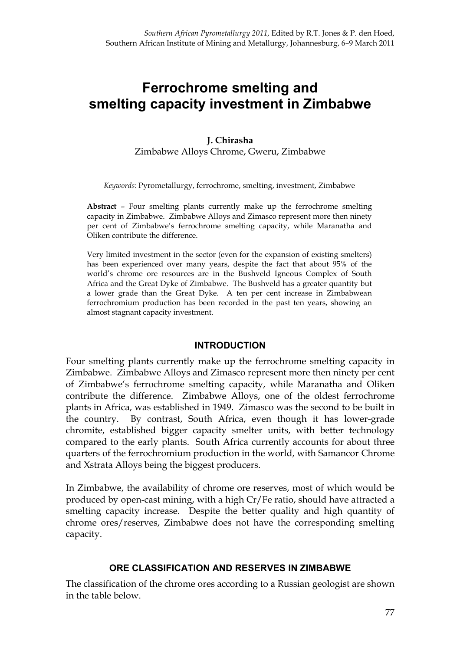# **Ferrochrome smelting and smelting capacity investment in Zimbabwe**

# **J. Chirasha**  Zimbabwe Alloys Chrome, Gweru, Zimbabwe

*Keywords:* Pyrometallurgy, ferrochrome, smelting, investment, Zimbabwe

**Abstract** – Four smelting plants currently make up the ferrochrome smelting capacity in Zimbabwe. Zimbabwe Alloys and Zimasco represent more then ninety per cent of Zimbabwe's ferrochrome smelting capacity, while Maranatha and Oliken contribute the difference.

Very limited investment in the sector (even for the expansion of existing smelters) has been experienced over many years, despite the fact that about 95% of the world's chrome ore resources are in the Bushveld Igneous Complex of South Africa and the Great Dyke of Zimbabwe. The Bushveld has a greater quantity but a lower grade than the Great Dyke. A ten per cent increase in Zimbabwean ferrochromium production has been recorded in the past ten years, showing an almost stagnant capacity investment.

#### **INTRODUCTION**

Four smelting plants currently make up the ferrochrome smelting capacity in Zimbabwe. Zimbabwe Alloys and Zimasco represent more then ninety per cent of Zimbabwe's ferrochrome smelting capacity, while Maranatha and Oliken contribute the difference. Zimbabwe Alloys, one of the oldest ferrochrome plants in Africa, was established in 1949. Zimasco was the second to be built in the country. By contrast, South Africa, even though it has lower-grade chromite, established bigger capacity smelter units, with better technology compared to the early plants. South Africa currently accounts for about three quarters of the ferrochromium production in the world, with Samancor Chrome and Xstrata Alloys being the biggest producers.

In Zimbabwe, the availability of chrome ore reserves, most of which would be produced by open-cast mining, with a high Cr/Fe ratio, should have attracted a smelting capacity increase. Despite the better quality and high quantity of chrome ores/reserves, Zimbabwe does not have the corresponding smelting capacity.

# **ORE CLASSIFICATION AND RESERVES IN ZIMBABWE**

The classification of the chrome ores according to a Russian geologist are shown in the table below.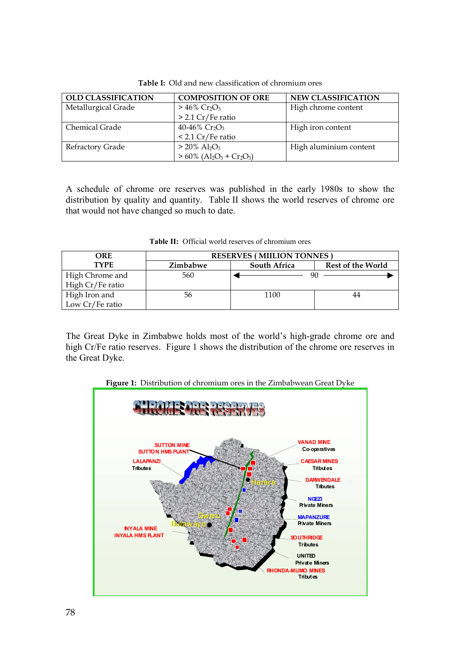| <b>OLD CLASSIFICATION</b> | <b>COMPOSITION OF ORE</b>                                                   | <b>NEW CLASSIFICATION</b> |
|---------------------------|-----------------------------------------------------------------------------|---------------------------|
| Metallurgical Grade       | $> 46\%$ Cr <sub>2</sub> O <sub>3</sub>                                     | High chrome content       |
|                           | $> 2.1$ Cr/Fe ratio                                                         |                           |
| Chemical Grade            | 40-46% $Cr_2O_3$                                                            | High iron content         |
|                           | $< 2.1$ Cr/Fe ratio                                                         |                           |
| Refractory Grade          | $> 20\%$ Al <sub>2</sub> O <sub>3</sub>                                     | High aluminium content    |
|                           | $> 60\%$ (Al <sub>2</sub> O <sub>3</sub> + Cr <sub>2</sub> O <sub>3</sub> ) |                           |

**Table I:** Old and new classification of chromium ores

A schedule of chrome ore reserves was published in the early 1980s to show the distribution by quality and quantity. Table II shows the world reserves of chrome ore that would not have changed so much to date.

| <b>ORE</b>       | <b>RESERVES (MILLION TONNES)</b> |                     |                          |
|------------------|----------------------------------|---------------------|--------------------------|
| <b>TYPE</b>      | <b>Zimbabwe</b>                  | <b>South Africa</b> | <b>Rest of the World</b> |
| High Chrome and  | 560                              |                     |                          |
| High Cr/Fe ratio |                                  |                     |                          |
| High Iron and    | 56                               | 1100                |                          |
| Low Cr/Fe ratio  |                                  |                     |                          |

**Table II:** Official world reserves of chromium ores

The Great Dyke in Zimbabwe holds most of the world's high-grade chrome ore and high Cr/Fe ratio reserves. Figure 1 shows the distribution of the chrome ore reserves in the Great Dyke.

**Figure 1:** Distribution of chromium ores in the Zimbabwean Great Dyke

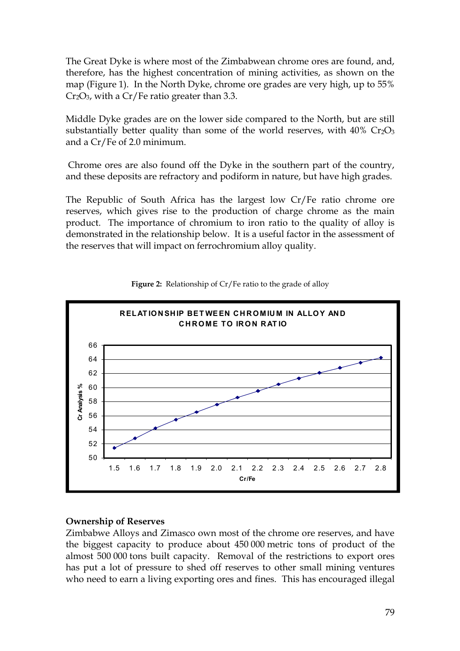The Great Dyke is where most of the Zimbabwean chrome ores are found, and, therefore, has the highest concentration of mining activities, as shown on the map (Figure 1). In the North Dyke, chrome ore grades are very high, up to 55%  $Cr_2O_3$ , with a Cr/Fe ratio greater than 3.3.

Middle Dyke grades are on the lower side compared to the North, but are still substantially better quality than some of the world reserves, with  $40\%$  Cr<sub>2</sub>O<sub>3</sub> and a Cr/Fe of 2.0 minimum.

 Chrome ores are also found off the Dyke in the southern part of the country, and these deposits are refractory and podiform in nature, but have high grades.

The Republic of South Africa has the largest low Cr/Fe ratio chrome ore reserves, which gives rise to the production of charge chrome as the main product. The importance of chromium to iron ratio to the quality of alloy is demonstrated in the relationship below. It is a useful factor in the assessment of the reserves that will impact on ferrochromium alloy quality.



#### **Figure 2:** Relationship of Cr/Fe ratio to the grade of alloy

#### **Ownership of Reserves**

Zimbabwe Alloys and Zimasco own most of the chrome ore reserves, and have the biggest capacity to produce about 450 000 metric tons of product of the almost 500 000 tons built capacity. Removal of the restrictions to export ores has put a lot of pressure to shed off reserves to other small mining ventures who need to earn a living exporting ores and fines. This has encouraged illegal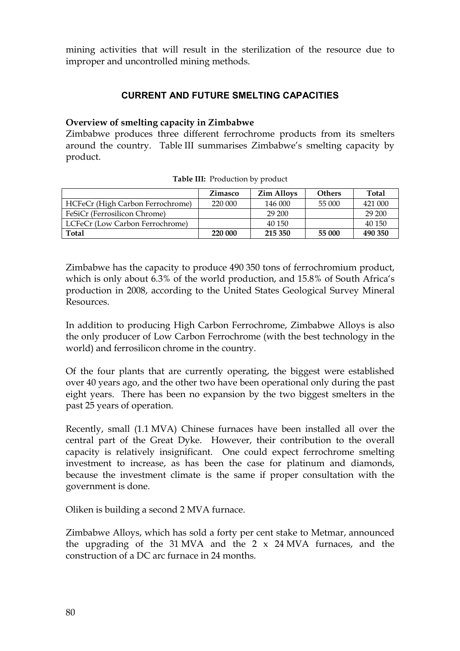mining activities that will result in the sterilization of the resource due to improper and uncontrolled mining methods.

# **CURRENT AND FUTURE SMELTING CAPACITIES**

#### **Overview of smelting capacity in Zimbabwe**

Zimbabwe produces three different ferrochrome products from its smelters around the country. Table III summarises Zimbabwe's smelting capacity by product.

|                                  | Zimasco | <b>Zim Alloys</b> | <b>Others</b> | Total   |
|----------------------------------|---------|-------------------|---------------|---------|
| HCFeCr (High Carbon Ferrochrome) | 220 000 | 146 000           | 55 000        | 421 000 |
| FeSiCr (Ferrosilicon Chrome)     |         | 29 200            |               | 29 200  |
| LCFeCr (Low Carbon Ferrochrome)  |         | 40 150            |               | 40 150  |
| <b>Total</b>                     | 220 000 | 215 350           | 55 000        | 490 350 |

**Table III:** Production by product

Zimbabwe has the capacity to produce 490 350 tons of ferrochromium product, which is only about 6.3% of the world production, and 15.8% of South Africa's production in 2008, according to the United States Geological Survey Mineral Resources.

In addition to producing High Carbon Ferrochrome, Zimbabwe Alloys is also the only producer of Low Carbon Ferrochrome (with the best technology in the world) and ferrosilicon chrome in the country.

Of the four plants that are currently operating, the biggest were established over 40 years ago, and the other two have been operational only during the past eight years. There has been no expansion by the two biggest smelters in the past 25 years of operation.

Recently, small (1.1 MVA) Chinese furnaces have been installed all over the central part of the Great Dyke. However, their contribution to the overall capacity is relatively insignificant. One could expect ferrochrome smelting investment to increase, as has been the case for platinum and diamonds, because the investment climate is the same if proper consultation with the government is done.

Oliken is building a second 2 MVA furnace.

Zimbabwe Alloys, which has sold a forty per cent stake to Metmar, announced the upgrading of the  $31 \text{ MVA}$  and the  $2 \times 24 \text{ MVA}$  furnaces, and the construction of a DC arc furnace in 24 months.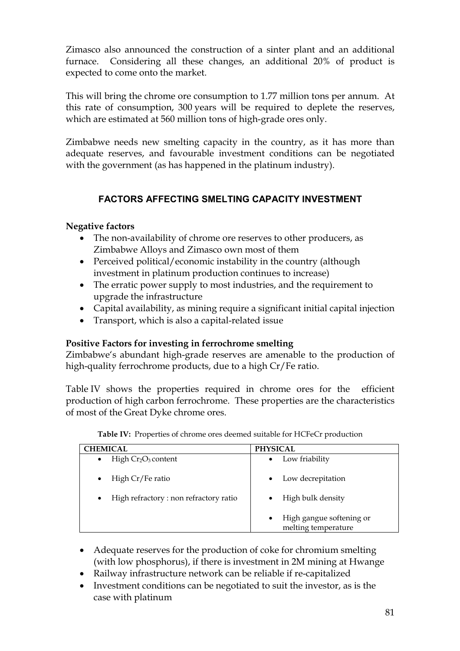Zimasco also announced the construction of a sinter plant and an additional furnace. Considering all these changes, an additional 20% of product is expected to come onto the market.

This will bring the chrome ore consumption to 1.77 million tons per annum. At this rate of consumption, 300 years will be required to deplete the reserves, which are estimated at 560 million tons of high-grade ores only.

Zimbabwe needs new smelting capacity in the country, as it has more than adequate reserves, and favourable investment conditions can be negotiated with the government (as has happened in the platinum industry).

# **FACTORS AFFECTING SMELTING CAPACITY INVESTMENT**

# **Negative factors**

- · The non-availability of chrome ore reserves to other producers, as Zimbabwe Alloys and Zimasco own most of them
- Perceived political/economic instability in the country (although investment in platinum production continues to increase)
- · The erratic power supply to most industries, and the requirement to upgrade the infrastructure
- · Capital availability, as mining require a significant initial capital injection
- · Transport, which is also a capital-related issue

# **Positive Factors for investing in ferrochrome smelting**

Zimbabwe's abundant high-grade reserves are amenable to the production of high-quality ferrochrome products, due to a high Cr/Fe ratio.

Table IV shows the properties required in chrome ores for the efficient production of high carbon ferrochrome. These properties are the characteristics of most of the Great Dyke chrome ores.

| CHEMICAL                                           | <b>PHYSICAL</b>                                              |
|----------------------------------------------------|--------------------------------------------------------------|
| High $Cr_2O_3$ content<br>$\bullet$                | Low friability<br>$\bullet$                                  |
| High Cr/Fe ratio<br>$\bullet$                      | Low decrepitation<br>$\bullet$                               |
| High refractory: non refractory ratio<br>$\bullet$ | High bulk density                                            |
|                                                    | High gangue softening or<br>$\bullet$<br>melting temperature |

**Table IV:** Properties of chrome ores deemed suitable for HCFeCr production

- · Adequate reserves for the production of coke for chromium smelting (with low phosphorus), if there is investment in 2M mining at Hwange
- · Railway infrastructure network can be reliable if re-capitalized
- · Investment conditions can be negotiated to suit the investor, as is the case with platinum